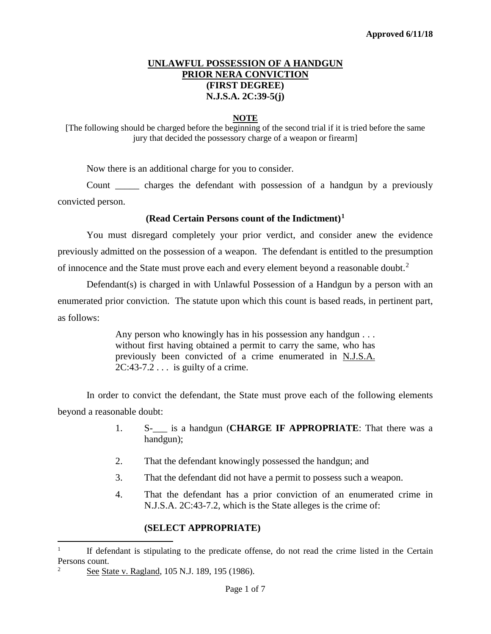### **UNLAWFUL POSSESSION OF A HANDGUN PRIOR NERA CONVICTION (FIRST DEGREE) N.J.S.A. 2C:39-5(j)**

#### **NOTE**

[The following should be charged before the beginning of the second trial if it is tried before the same jury that decided the possessory charge of a weapon or firearm]

Now there is an additional charge for you to consider.

Count \_\_\_\_\_ charges the defendant with possession of a handgun by a previously convicted person.

#### **(Read Certain Persons count of the Indictment)[1](#page-0-0)**

You must disregard completely your prior verdict, and consider anew the evidence previously admitted on the possession of a weapon. The defendant is entitled to the presumption of innocence and the State must prove each and every element beyond a reasonable doubt.<sup>[2](#page-0-1)</sup>

Defendant(s) is charged in with Unlawful Possession of a Handgun by a person with an enumerated prior conviction. The statute upon which this count is based reads, in pertinent part, as follows:

> Any person who knowingly has in his possession any handgun . . . without first having obtained a permit to carry the same, who has previously been convicted of a crime enumerated in N.J.S.A. 2C:43-7.2 . . . is guilty of a crime.

In order to convict the defendant, the State must prove each of the following elements beyond a reasonable doubt:

- 1. S-\_\_\_ is a handgun (**CHARGE IF APPROPRIATE**: That there was a handgun);
- 2. That the defendant knowingly possessed the handgun; and
- 3. That the defendant did not have a permit to possess such a weapon.
- 4. That the defendant has a prior conviction of an enumerated crime in N.J.S.A. 2C:43-7.2, which is the State alleges is the crime of:

### **(SELECT APPROPRIATE)**

<span id="page-0-0"></span> <sup>1</sup> If defendant is stipulating to the predicate offense, do not read the crime listed in the Certain Persons count.

<span id="page-0-1"></span><sup>2</sup> See State v. Ragland, 105 N.J. 189, 195 (1986).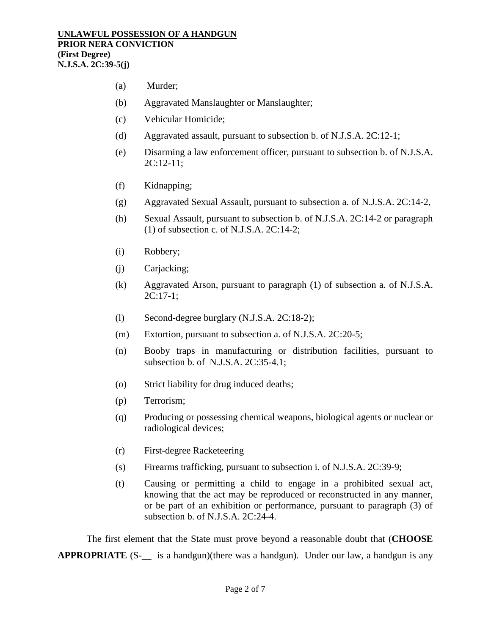- (a) Murder;
- (b) Aggravated Manslaughter or Manslaughter;
- (c) Vehicular Homicide;
- (d) Aggravated assault, pursuant to subsection b. of N.J.S.A. 2C:12-1;
- (e) Disarming a law enforcement officer, pursuant to subsection b. of N.J.S.A. 2C:12-11;
- (f) Kidnapping;
- (g) Aggravated Sexual Assault, pursuant to subsection a. of N.J.S.A. 2C:14-2,
- (h) Sexual Assault, pursuant to subsection b. of N.J.S.A. 2C:14-2 or paragraph (1) of subsection c. of N.J.S.A. 2C:14-2;
- (i) Robbery;
- (j) Carjacking;
- (k) Aggravated Arson, pursuant to paragraph (1) of subsection a. of N.J.S.A. 2C:17-1;
- (l) Second-degree burglary (N.J.S.A. 2C:18-2);
- (m) Extortion, pursuant to subsection a. of N.J.S.A. 2C:20-5;
- (n) Booby traps in manufacturing or distribution facilities, pursuant to subsection b. of N.J.S.A. 2C:35-4.1;
- (o) Strict liability for drug induced deaths;
- (p) Terrorism;
- (q) Producing or possessing chemical weapons, biological agents or nuclear or radiological devices;
- (r) First-degree Racketeering
- (s) Firearms trafficking, pursuant to subsection i. of N.J.S.A. 2C:39-9;
- (t) Causing or permitting a child to engage in a prohibited sexual act, knowing that the act may be reproduced or reconstructed in any manner, or be part of an exhibition or performance, pursuant to paragraph (3) of subsection b. of N.J.S.A. 2C:24-4.

The first element that the State must prove beyond a reasonable doubt that (**CHOOSE APPROPRIATE** (S- is a handgun)(there was a handgun). Under our law, a handgun is any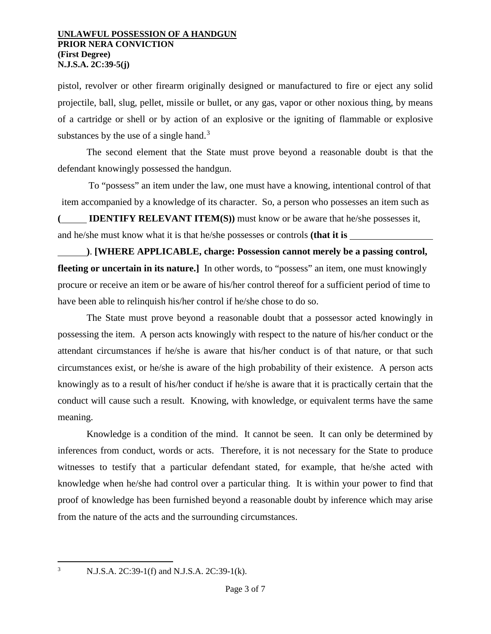pistol, revolver or other firearm originally designed or manufactured to fire or eject any solid projectile, ball, slug, pellet, missile or bullet, or any gas, vapor or other noxious thing, by means of a cartridge or shell or by action of an explosive or the igniting of flammable or explosive substances by the use of a single hand.<sup>[3](#page-2-0)</sup>

The second element that the State must prove beyond a reasonable doubt is that the defendant knowingly possessed the handgun.

To "possess" an item under the law, one must have a knowing, intentional control of that item accompanied by a knowledge of its character. So, a person who possesses an item such as

**( IDENTIFY RELEVANT ITEM(S))** must know or be aware that he/she possesses it, and he/she must know what it is that he/she possesses or controls **(that it is** 

**)**. **[WHERE APPLICABLE, charge: Possession cannot merely be a passing control, fleeting or uncertain in its nature.**] In other words, to "possess" an item, one must knowingly procure or receive an item or be aware of his/her control thereof for a sufficient period of time to have been able to relinquish his/her control if he/she chose to do so.

The State must prove beyond a reasonable doubt that a possessor acted knowingly in possessing the item. A person acts knowingly with respect to the nature of his/her conduct or the attendant circumstances if he/she is aware that his/her conduct is of that nature, or that such circumstances exist, or he/she is aware of the high probability of their existence. A person acts knowingly as to a result of his/her conduct if he/she is aware that it is practically certain that the conduct will cause such a result. Knowing, with knowledge, or equivalent terms have the same meaning.

Knowledge is a condition of the mind. It cannot be seen. It can only be determined by inferences from conduct, words or acts. Therefore, it is not necessary for the State to produce witnesses to testify that a particular defendant stated, for example, that he/she acted with knowledge when he/she had control over a particular thing. It is within your power to find that proof of knowledge has been furnished beyond a reasonable doubt by inference which may arise from the nature of the acts and the surrounding circumstances.

<span id="page-2-0"></span>

<sup>&</sup>lt;sup>3</sup> N.J.S.A. 2C:39-1(f) and N.J.S.A. 2C:39-1(k).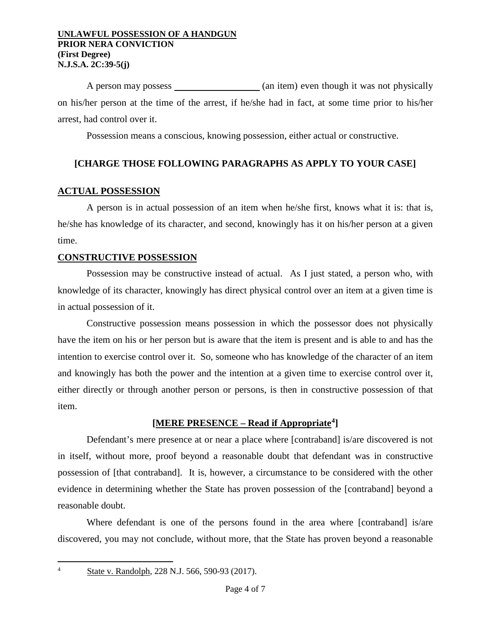A person may possess \_\_\_\_\_\_\_\_\_\_\_\_\_\_\_\_ (an item) even though it was not physically on his/her person at the time of the arrest, if he/she had in fact, at some time prior to his/her arrest, had control over it.

Possession means a conscious, knowing possession, either actual or constructive.

# **[CHARGE THOSE FOLLOWING PARAGRAPHS AS APPLY TO YOUR CASE]**

# **ACTUAL POSSESSION**

A person is in actual possession of an item when he/she first, knows what it is: that is, he/she has knowledge of its character, and second, knowingly has it on his/her person at a given time.

## **CONSTRUCTIVE POSSESSION**

Possession may be constructive instead of actual. As I just stated, a person who, with knowledge of its character, knowingly has direct physical control over an item at a given time is in actual possession of it.

Constructive possession means possession in which the possessor does not physically have the item on his or her person but is aware that the item is present and is able to and has the intention to exercise control over it. So, someone who has knowledge of the character of an item and knowingly has both the power and the intention at a given time to exercise control over it, either directly or through another person or persons, is then in constructive possession of that item.

## **[MERE PRESENCE – Read if Appropriate[4\]](#page-3-0)**

Defendant's mere presence at or near a place where [contraband] is/are discovered is not in itself, without more, proof beyond a reasonable doubt that defendant was in constructive possession of [that contraband]. It is, however, a circumstance to be considered with the other evidence in determining whether the State has proven possession of the [contraband] beyond a reasonable doubt.

Where defendant is one of the persons found in the area where [contraband] is/are discovered, you may not conclude, without more, that the State has proven beyond a reasonable

 $\frac{1}{4}$ 

<span id="page-3-0"></span>State v. Randolph, 228 N.J. 566, 590-93 (2017).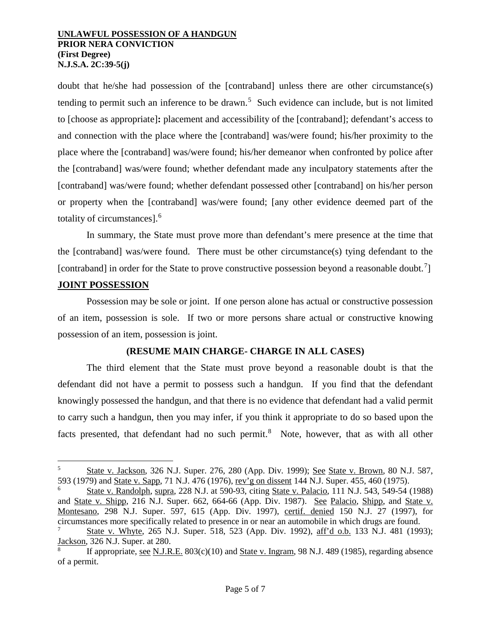doubt that he/she had possession of the [contraband] unless there are other circumstance(s) tending to permit such an inference to be drawn. [5](#page-4-0) Such evidence can include, but is not limited to [choose as appropriate]**:** placement and accessibility of the [contraband]; defendant's access to and connection with the place where the [contraband] was/were found; his/her proximity to the place where the [contraband] was/were found; his/her demeanor when confronted by police after the [contraband] was/were found; whether defendant made any inculpatory statements after the [contraband] was/were found; whether defendant possessed other [contraband] on his/her person or property when the [contraband] was/were found; [any other evidence deemed part of the totality of circumstances].[6](#page-4-1)

In summary, the State must prove more than defendant's mere presence at the time that the [contraband] was/were found. There must be other circumstance(s) tying defendant to the [contraband] in order for the State to prove constructive possession beyond a reasonable doubt.<sup>[7](#page-4-2)</sup>]

## **JOINT POSSESSION**

Possession may be sole or joint. If one person alone has actual or constructive possession of an item, possession is sole. If two or more persons share actual or constructive knowing possession of an item, possession is joint.

## **(RESUME MAIN CHARGE- CHARGE IN ALL CASES)**

The third element that the State must prove beyond a reasonable doubt is that the defendant did not have a permit to possess such a handgun. If you find that the defendant knowingly possessed the handgun, and that there is no evidence that defendant had a valid permit to carry such a handgun, then you may infer, if you think it appropriate to do so based upon the facts presented, that defendant had no such permit. $8$  Note, however, that as with all other

<span id="page-4-0"></span> <sup>5</sup> State v. Jackson, 326 N.J. Super. 276, 280 (App. Div. 1999); See State v. Brown, 80 N.J. 587, 593 (1979) and State v. Sapp, 71 N.J. 476 (1976), rev'g on dissent 144 N.J. Super. 455, 460 (1975).

<span id="page-4-1"></span><sup>6</sup> State v. Randolph, supra, 228 N.J. at 590-93, citing State v. Palacio, 111 N.J. 543, 549-54 (1988) and State v. Shipp, 216 N.J. Super. 662, 664-66 (App. Div. 1987). See Palacio, Shipp, and State v. Montesano, 298 N.J. Super. 597, 615 (App. Div. 1997), certif. denied 150 N.J. 27 (1997), for circumstances more specifically related to presence in or near an automobile in which drugs are found.

<span id="page-4-2"></span>State v. Whyte, 265 N.J. Super. 518, 523 (App. Div. 1992), aff'd o.b. 133 N.J. 481 (1993); Jackson, 326 N.J. Super. at 280.

<span id="page-4-3"></span>If appropriate, see N.J.R.E.  $803(c)(10)$  and State v. Ingram, 98 N.J. 489 (1985), regarding absence of a permit.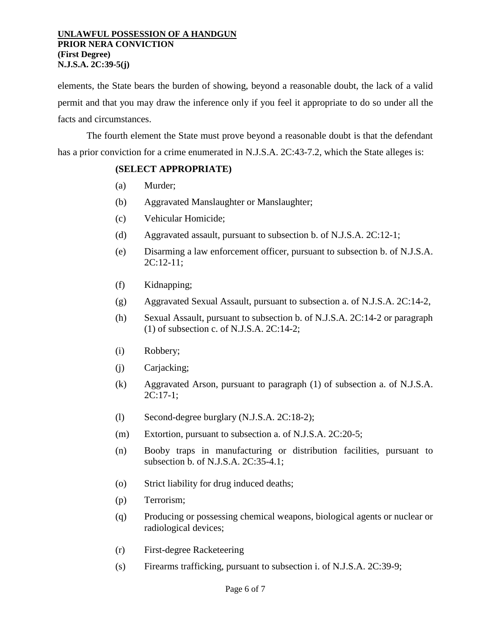elements, the State bears the burden of showing, beyond a reasonable doubt, the lack of a valid permit and that you may draw the inference only if you feel it appropriate to do so under all the facts and circumstances.

The fourth element the State must prove beyond a reasonable doubt is that the defendant has a prior conviction for a crime enumerated in N.J.S.A. 2C:43-7.2, which the State alleges is:

## **(SELECT APPROPRIATE)**

- (a) Murder;
- (b) Aggravated Manslaughter or Manslaughter;
- (c) Vehicular Homicide;
- (d) Aggravated assault, pursuant to subsection b. of N.J.S.A. 2C:12-1;
- (e) Disarming a law enforcement officer, pursuant to subsection b. of N.J.S.A. 2C:12-11;
- (f) Kidnapping;
- (g) Aggravated Sexual Assault, pursuant to subsection a. of N.J.S.A. 2C:14-2,
- (h) Sexual Assault, pursuant to subsection b. of N.J.S.A. 2C:14-2 or paragraph (1) of subsection c. of N.J.S.A. 2C:14-2;
- (i) Robbery;
- (j) Carjacking;
- (k) Aggravated Arson, pursuant to paragraph (1) of subsection a. of N.J.S.A. 2C:17-1;
- (l) Second-degree burglary (N.J.S.A. 2C:18-2);
- (m) Extortion, pursuant to subsection a. of N.J.S.A. 2C:20-5;
- (n) Booby traps in manufacturing or distribution facilities, pursuant to subsection b. of N.J.S.A. 2C:35-4.1;
- (o) Strict liability for drug induced deaths;
- (p) Terrorism;
- (q) Producing or possessing chemical weapons, biological agents or nuclear or radiological devices;
- (r) First-degree Racketeering
- (s) Firearms trafficking, pursuant to subsection i. of N.J.S.A. 2C:39-9;